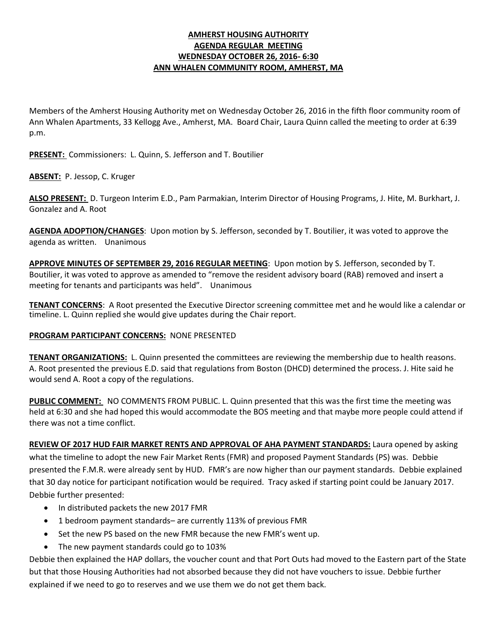## **AMHERST HOUSING AUTHORITY AGENDA REGULAR MEETING WEDNESDAY OCTOBER 26, 2016- 6:30 ANN WHALEN COMMUNITY ROOM, AMHERST, MA**

Members of the Amherst Housing Authority met on Wednesday October 26, 2016 in the fifth floor community room of Ann Whalen Apartments, 33 Kellogg Ave., Amherst, MA. Board Chair, Laura Quinn called the meeting to order at 6:39 p.m.

**PRESENT:** Commissioners: L. Quinn, S. Jefferson and T. Boutilier

**ABSENT:** P. Jessop, C. Kruger

**ALSO PRESENT:** D. Turgeon Interim E.D., Pam Parmakian, Interim Director of Housing Programs, J. Hite, M. Burkhart, J. Gonzalez and A. Root

**AGENDA ADOPTION/CHANGES**: Upon motion by S. Jefferson, seconded by T. Boutilier, it was voted to approve the agenda as written. Unanimous

**APPROVE MINUTES OF SEPTEMBER 29, 2016 REGULAR MEETING**: Upon motion by S. Jefferson, seconded by T. Boutilier, it was voted to approve as amended to "remove the resident advisory board (RAB) removed and insert a meeting for tenants and participants was held". Unanimous

**TENANT CONCERNS**: A Root presented the Executive Director screening committee met and he would like a calendar or timeline. L. Quinn replied she would give updates during the Chair report.

#### **PROGRAM PARTICIPANT CONCERNS:** NONE PRESENTED

**TENANT ORGANIZATIONS:** L. Quinn presented the committees are reviewing the membership due to health reasons. A. Root presented the previous E.D. said that regulations from Boston (DHCD) determined the process. J. Hite said he would send A. Root a copy of the regulations.

**PUBLIC COMMENT:** NO COMMENTS FROM PUBLIC. L. Quinn presented that this was the first time the meeting was held at 6:30 and she had hoped this would accommodate the BOS meeting and that maybe more people could attend if there was not a time conflict.

**REVIEW OF 2017 HUD FAIR MARKET RENTS AND APPROVAL OF AHA PAYMENT STANDARDS:** Laura opened by asking what the timeline to adopt the new Fair Market Rents (FMR) and proposed Payment Standards (PS) was. Debbie presented the F.M.R. were already sent by HUD. FMR's are now higher than our payment standards. Debbie explained that 30 day notice for participant notification would be required. Tracy asked if starting point could be January 2017. Debbie further presented:

- In distributed packets the new 2017 FMR
- 1 bedroom payment standards– are currently 113% of previous FMR
- Set the new PS based on the new FMR because the new FMR's went up.
- The new payment standards could go to 103%

Debbie then explained the HAP dollars, the voucher count and that Port Outs had moved to the Eastern part of the State but that those Housing Authorities had not absorbed because they did not have vouchers to issue. Debbie further explained if we need to go to reserves and we use them we do not get them back.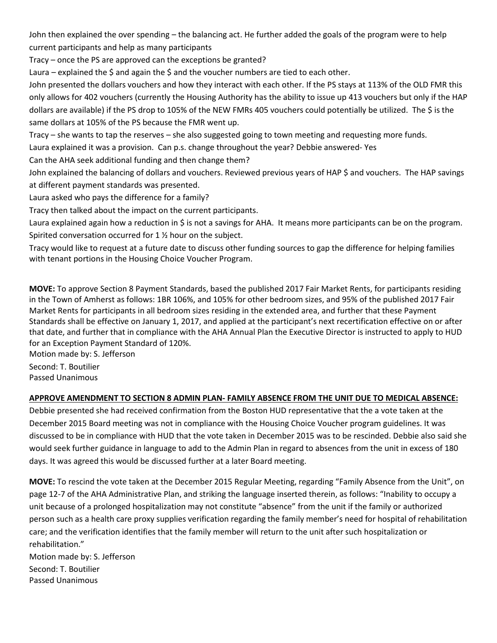John then explained the over spending – the balancing act. He further added the goals of the program were to help current participants and help as many participants

Tracy – once the PS are approved can the exceptions be granted?

Laura – explained the  $\frac{2}{3}$  and again the  $\frac{2}{3}$  and the voucher numbers are tied to each other.

John presented the dollars vouchers and how they interact with each other. If the PS stays at 113% of the OLD FMR this only allows for 402 vouchers (currently the Housing Authority has the ability to issue up 413 vouchers but only if the HAP dollars are available) if the PS drop to 105% of the NEW FMRs 405 vouchers could potentially be utilized. The \$ is the same dollars at 105% of the PS because the FMR went up.

Tracy – she wants to tap the reserves – she also suggested going to town meeting and requesting more funds.

Laura explained it was a provision. Can p.s. change throughout the year? Debbie answered- Yes

Can the AHA seek additional funding and then change them?

John explained the balancing of dollars and vouchers. Reviewed previous years of HAP \$ and vouchers. The HAP savings at different payment standards was presented.

Laura asked who pays the difference for a family?

Tracy then talked about the impact on the current participants.

Laura explained again how a reduction in \$ is not a savings for AHA. It means more participants can be on the program. Spirited conversation occurred for 1 ½ hour on the subject.

Tracy would like to request at a future date to discuss other funding sources to gap the difference for helping families with tenant portions in the Housing Choice Voucher Program.

**MOVE:** To approve Section 8 Payment Standards, based the published 2017 Fair Market Rents, for participants residing in the Town of Amherst as follows: 1BR 106%, and 105% for other bedroom sizes, and 95% of the published 2017 Fair Market Rents for participants in all bedroom sizes residing in the extended area, and further that these Payment Standards shall be effective on January 1, 2017, and applied at the participant's next recertification effective on or after that date, and further that in compliance with the AHA Annual Plan the Executive Director is instructed to apply to HUD for an Exception Payment Standard of 120%.

Motion made by: S. Jefferson

Second: T. Boutilier Passed Unanimous

## **APPROVE AMENDMENT TO SECTION 8 ADMIN PLAN- FAMILY ABSENCE FROM THE UNIT DUE TO MEDICAL ABSENCE:**

Debbie presented she had received confirmation from the Boston HUD representative that the a vote taken at the December 2015 Board meeting was not in compliance with the Housing Choice Voucher program guidelines. It was discussed to be in compliance with HUD that the vote taken in December 2015 was to be rescinded. Debbie also said she would seek further guidance in language to add to the Admin Plan in regard to absences from the unit in excess of 180 days. It was agreed this would be discussed further at a later Board meeting.

**MOVE:** To rescind the vote taken at the December 2015 Regular Meeting, regarding "Family Absence from the Unit", on page 12-7 of the AHA Administrative Plan, and striking the language inserted therein, as follows: "Inability to occupy a unit because of a prolonged hospitalization may not constitute "absence" from the unit if the family or authorized person such as a health care proxy supplies verification regarding the family member's need for hospital of rehabilitation care; and the verification identifies that the family member will return to the unit after such hospitalization or rehabilitation."

Motion made by: S. Jefferson Second: T. Boutilier Passed Unanimous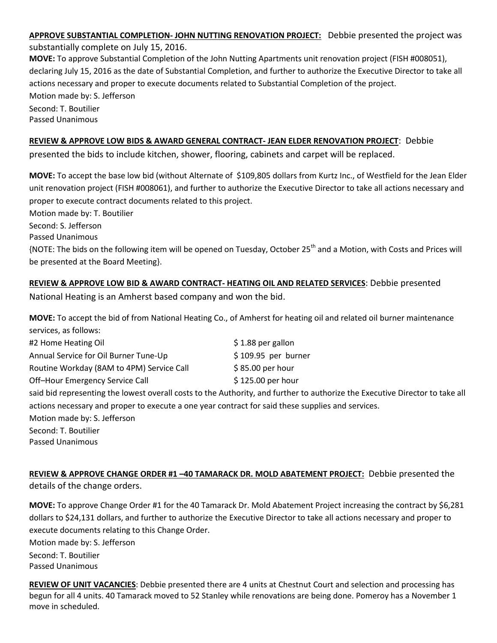**APPROVE SUBSTANTIAL COMPLETION- JOHN NUTTING RENOVATION PROJECT:** Debbie presented the project was substantially complete on July 15, 2016. **MOVE:** To approve Substantial Completion of the John Nutting Apartments unit renovation project (FISH #008051), declaring July 15, 2016 as the date of Substantial Completion, and further to authorize the Executive Director to take all actions necessary and proper to execute documents related to Substantial Completion of the project. Motion made by: S. Jefferson Second: T. Boutilier

Passed Unanimous

# **REVIEW & APPROVE LOW BIDS & AWARD GENERAL CONTRACT- JEAN ELDER RENOVATION PROJECT**: Debbie

presented the bids to include kitchen, shower, flooring, cabinets and carpet will be replaced.

**MOVE:** To accept the base low bid (without Alternate of \$109,805 dollars from Kurtz Inc., of Westfield for the Jean Elder unit renovation project (FISH #008061), and further to authorize the Executive Director to take all actions necessary and proper to execute contract documents related to this project.

Motion made by: T. Boutilier

Second: S. Jefferson

Passed Unanimous

{NOTE: The bids on the following item will be opened on Tuesday, October 25th and a Motion, with Costs and Prices will be presented at the Board Meeting}.

**REVIEW & APPROVE LOW BID & AWARD CONTRACT- HEATING OIL AND RELATED SERVICES**: Debbie presented National Heating is an Amherst based company and won the bid.

**MOVE:** To accept the bid of from National Heating Co., of Amherst for heating oil and related oil burner maintenance services, as follows:

| #2 Home Heating Oil                                                                              | $$1.88$ per gallon   |
|--------------------------------------------------------------------------------------------------|----------------------|
| Annual Service for Oil Burner Tune-Up                                                            | $$109.95$ per burner |
| Routine Workday (8AM to 4PM) Service Call                                                        | $$85.00$ per hour    |
| Off-Hour Emergency Service Call                                                                  | \$125.00 per hour    |
| said bid representing the lowest overall costs to the Authority, and further to authorize the Ex |                      |
|                                                                                                  |                      |

secutive Director to take all actions necessary and proper to execute a one year contract for said these supplies and services.

Motion made by: S. Jefferson

Second: T. Boutilier

Passed Unanimous

**REVIEW & APPROVE CHANGE ORDER #1 –40 TAMARACK DR. MOLD ABATEMENT PROJECT:** Debbie presented the details of the change orders.

**MOVE:** To approve Change Order #1 for the 40 Tamarack Dr. Mold Abatement Project increasing the contract by \$6,281 dollars to \$24,131 dollars, and further to authorize the Executive Director to take all actions necessary and proper to execute documents relating to this Change Order. Motion made by: S. Jefferson Second: T. Boutilier Passed Unanimous

**REVIEW OF UNIT VACANCIES**: Debbie presented there are 4 units at Chestnut Court and selection and processing has begun for all 4 units. 40 Tamarack moved to 52 Stanley while renovations are being done. Pomeroy has a November 1 move in scheduled.